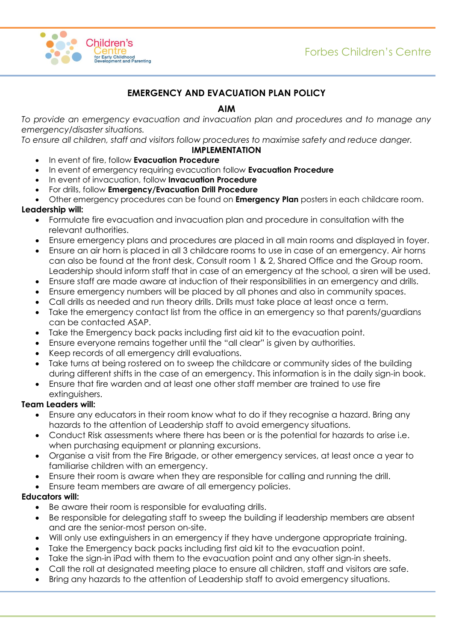

# **EMERGENCY AND EVACUATION PLAN POLICY**

# **AIM**

*To provide an emergency evacuation and invacuation plan and procedures and to manage any emergency/disaster situations.*

*To ensure all children, staff and visitors follow procedures to maximise safety and reduce danger.* 

## **IMPLEMENTATION**

- In event of fire, follow **Evacuation Procedure**
- In event of emergency requiring evacuation follow **Evacuation Procedure**
- In event of invacuation, follow **Invacuation Procedure**
- For drills, follow **Emergency/Evacuation Drill Procedure**
- Other emergency procedures can be found on **Emergency Plan** posters in each childcare room.

## **Leadership will:**

- Formulate fire evacuation and invacuation plan and procedure in consultation with the relevant authorities.
- Ensure emergency plans and procedures are placed in all main rooms and displayed in foyer.
- Ensure an air horn is placed in all 3 childcare rooms to use in case of an emergency. Air horns can also be found at the front desk, Consult room 1 & 2, Shared Office and the Group room. Leadership should inform staff that in case of an emergency at the school, a siren will be used.
- Ensure staff are made aware at induction of their responsibilities in an emergency and drills.
- Ensure emergency numbers will be placed by all phones and also in community spaces.
- Call drills as needed and run theory drills. Drills must take place at least once a term.
- Take the emergency contact list from the office in an emergency so that parents/guardians can be contacted ASAP.
- Take the Emergency back packs including first aid kit to the evacuation point.
- Ensure everyone remains together until the "all clear" is given by authorities.
- Keep records of all emergency drill evaluations.
- Take turns at being rostered on to sweep the childcare or community sides of the building during different shifts in the case of an emergency. This information is in the daily sign-in book.
- Ensure that fire warden and at least one other staff member are trained to use fire extinguishers.

# **Team Leaders will:**

- Ensure any educators in their room know what to do if they recognise a hazard. Bring any hazards to the attention of Leadership staff to avoid emergency situations.
- Conduct Risk assessments where there has been or is the potential for hazards to arise i.e. when purchasing equipment or planning excursions.
- Organise a visit from the Fire Brigade, or other emergency services, at least once a year to familiarise children with an emergency.
- Ensure their room is aware when they are responsible for calling and running the drill.
- Ensure team members are aware of all emergency policies.

#### **Educators will:**

- Be aware their room is responsible for evaluating drills.
- Be responsible for delegating staff to sweep the building if leadership members are absent and are the senior-most person on-site.
- Will only use extinguishers in an emergency if they have undergone appropriate training.
- Take the Emergency back packs including first aid kit to the evacuation point.
- Take the sign-in iPad with them to the evacuation point and any other sign-in sheets.
- Call the roll at designated meeting place to ensure all children, staff and visitors are safe.
- Bring any hazards to the attention of Leadership staff to avoid emergency situations.